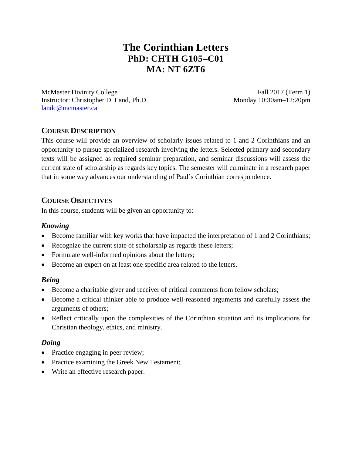# **The Corinthian Letters PhD: CHTH G105–C01 MA: NT 6ZT6**

McMaster Divinity College Fall 2017 (Term 1) Instructor: Christopher D. Land, Ph.D. Monday 10:30am–12:20pm [landc@mcmaster.ca](mailto:landc@mcmaster.ca)

# **COURSE DESCRIPTION**

This course will provide an overview of scholarly issues related to 1 and 2 Corinthians and an opportunity to pursue specialized research involving the letters. Selected primary and secondary texts will be assigned as required seminar preparation, and seminar discussions will assess the current state of scholarship as regards key topics. The semester will culminate in a research paper that in some way advances our understanding of Paul's Corinthian correspondence.

## **COURSE OBJECTIVES**

In this course, students will be given an opportunity to:

#### *Knowing*

- Become familiar with key works that have impacted the interpretation of 1 and 2 Corinthians;
- Recognize the current state of scholarship as regards these letters;
- Formulate well-informed opinions about the letters;
- Become an expert on at least one specific area related to the letters.

#### *Being*

- Become a charitable giver and receiver of critical comments from fellow scholars;
- Become a critical thinker able to produce well-reasoned arguments and carefully assess the arguments of others;
- Reflect critically upon the complexities of the Corinthian situation and its implications for Christian theology, ethics, and ministry.

#### *Doing*

- Practice engaging in peer review;
- Practice examining the Greek New Testament;
- Write an effective research paper.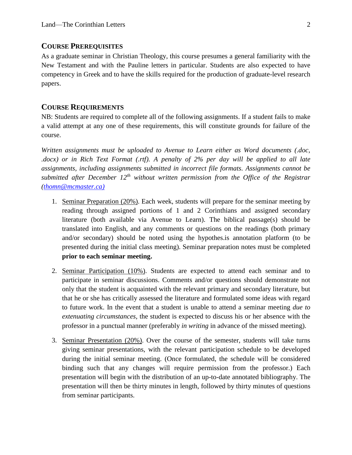#### **COURSE PREREQUISITES**

As a graduate seminar in Christian Theology, this course presumes a general familiarity with the New Testament and with the Pauline letters in particular. Students are also expected to have competency in Greek and to have the skills required for the production of graduate-level research papers.

#### **COURSE REQUIREMENTS**

NB: Students are required to complete all of the following assignments. If a student fails to make a valid attempt at any one of these requirements, this will constitute grounds for failure of the course.

*Written assignments must be uploaded to Avenue to Learn either as Word documents (.doc, .docx) or in Rich Text Format (.rtf). A penalty of 2% per day will be applied to all late assignments, including assignments submitted in incorrect file formats. Assignments cannot be submitted after December 12th without written permission from the Office of the Registrar [\(thomn@mcmaster.ca\)](mailto:thomn@mcmaster.ca))*

- 1. Seminar Preparation (20%). Each week, students will prepare for the seminar meeting by reading through assigned portions of 1 and 2 Corinthians and assigned secondary literature (both available via Avenue to Learn). The biblical passage(s) should be translated into English, and any comments or questions on the readings (both primary and/or secondary) should be noted using the hypothes.is annotation platform (to be presented during the initial class meeting). Seminar preparation notes must be completed **prior to each seminar meeting.**
- 2. Seminar Participation (10%). Students are expected to attend each seminar and to participate in seminar discussions. Comments and/or questions should demonstrate not only that the student is acquainted with the relevant primary and secondary literature, but that he or she has critically assessed the literature and formulated some ideas with regard to future work. In the event that a student is unable to attend a seminar meeting *due to extenuating circumstances*, the student is expected to discuss his or her absence with the professor in a punctual manner (preferably *in writing* in advance of the missed meeting).
- 3. Seminar Presentation (20%). Over the course of the semester, students will take turns giving seminar presentations, with the relevant participation schedule to be developed during the initial seminar meeting. (Once formulated, the schedule will be considered binding such that any changes will require permission from the professor.) Each presentation will begin with the distribution of an up-to-date annotated bibliography. The presentation will then be thirty minutes in length, followed by thirty minutes of questions from seminar participants.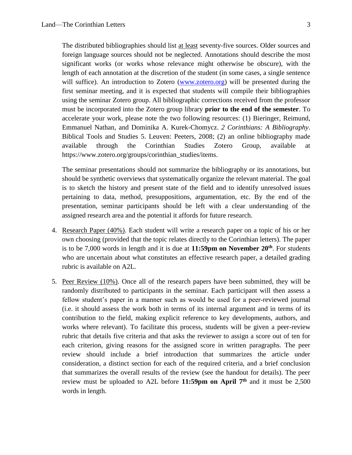The distributed bibliographies should list at least seventy-five sources. Older sources and foreign language sources should not be neglected. Annotations should describe the most significant works (or works whose relevance might otherwise be obscure), with the length of each annotation at the discretion of the student (in some cases, a single sentence will suffice). An introduction to Zotero [\(www.zotero.org\)](http://www.zotero.org/) will be presented during the first seminar meeting, and it is expected that students will compile their bibliographies using the seminar Zotero group. All bibliographic corrections received from the professor must be incorporated into the Zotero group library **prior to the end of the semester**. To accelerate your work, please note the two following resources: (1) Bieringer, Reimund, Emmanuel Nathan, and Dominika A. Kurek-Chomycz. *2 Corinthians: A Bibliography*. Biblical Tools and Studies 5. Leuven: Peeters, 2008; (2) an online bibliography made available through the Corinthian Studies Zotero Group, available at https://www.zotero.org/groups/corinthian\_studies/items.

The seminar presentations should not summarize the bibliography or its annotations, but should be synthetic overviews that systematically organize the relevant material. The goal is to sketch the history and present state of the field and to identify unresolved issues pertaining to data, method, presuppositions, argumentation, etc. By the end of the presentation, seminar participants should be left with a clear understanding of the assigned research area and the potential it affords for future research.

- 4. Research Paper (40%). Each student will write a research paper on a topic of his or her own choosing (provided that the topic relates directly to the Corinthian letters). The paper is to be 7,000 words in length and it is due at **11:59pm on November 20 th**. For students who are uncertain about what constitutes an effective research paper, a detailed grading rubric is available on A2L.
- 5. Peer Review (10%). Once all of the research papers have been submitted, they will be randomly distributed to participants in the seminar. Each participant will then assess a fellow student's paper in a manner such as would be used for a peer-reviewed journal (i.e. it should assess the work both in terms of its internal argument and in terms of its contribution to the field, making explicit reference to key developments, authors, and works where relevant). To facilitate this process, students will be given a peer-review rubric that details five criteria and that asks the reviewer to assign a score out of ten for each criterion, giving reasons for the assigned score in written paragraphs. The peer review should include a brief introduction that summarizes the article under consideration, a distinct section for each of the required criteria, and a brief conclusion that summarizes the overall results of the review (see the handout for details). The peer review must be uploaded to A2L before **11:59pm on April 7 th** and it must be 2,500 words in length.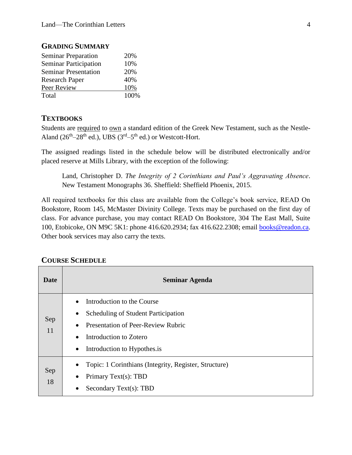| <b>Seminar Preparation</b>   | 20%  |
|------------------------------|------|
| <b>Seminar Participation</b> | 10%  |
| <b>Seminar Presentation</b>  | 20%  |
| <b>Research Paper</b>        | 40%  |
| Peer Review                  | 10%  |
| Total                        | 100% |

## **GRADING SUMMARY**

#### **TEXTBOOKS**

Students are required to own a standard edition of the Greek New Testament, such as the Nestle-Aland  $(26<sup>th</sup>-28<sup>th</sup>$  ed.), UBS  $(3<sup>rd</sup>-5<sup>th</sup>$  ed.) or Westcott-Hort.

The assigned readings listed in the schedule below will be distributed electronically and/or placed reserve at Mills Library, with the exception of the following:

Land, Christopher D. *The Integrity of 2 Corinthians and Paul's Aggravating Absence*. New Testament Monographs 36. Sheffield: Sheffield Phoenix, 2015.

All required textbooks for this class are available from the College's book service, READ On Bookstore, Room 145, McMaster Divinity College. Texts may be purchased on the first day of class. For advance purchase, you may contact READ On Bookstore, 304 The East Mall, Suite 100, Etobicoke, ON M9C 5K1: phone 416.620.2934; fax 416.622.2308; email [books@readon.ca.](mailto:books@readon.ca) Other book services may also carry the texts.

| <b>Date</b> | Seminar Agenda                                                                                                                                                                                                                           |
|-------------|------------------------------------------------------------------------------------------------------------------------------------------------------------------------------------------------------------------------------------------|
| Sep<br>11   | Introduction to the Course<br>$\bullet$<br>Scheduling of Student Participation<br>$\bullet$<br><b>Presentation of Peer-Review Rubric</b><br>$\bullet$<br>Introduction to Zotero<br>$\bullet$<br>Introduction to Hypothes.is<br>$\bullet$ |
| Sep<br>18   | Topic: 1 Corinthians (Integrity, Register, Structure)<br>$\bullet$<br>Primary Text(s): TBD<br>$\bullet$<br>Secondary Text(s): TBD<br>$\bullet$                                                                                           |

#### **COURSE SCHEDULE**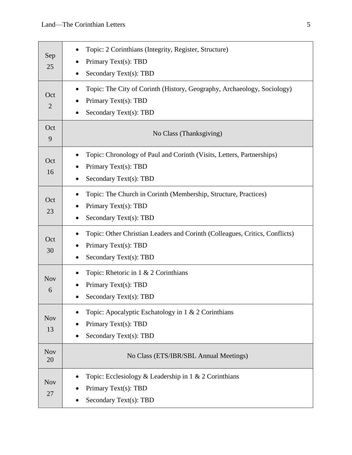| Sep<br>25             | Topic: 2 Corinthians (Integrity, Register, Structure)<br>Primary Text(s): TBD<br>Secondary Text(s): TBD                       |
|-----------------------|-------------------------------------------------------------------------------------------------------------------------------|
| Oct<br>$\overline{2}$ | Topic: The City of Corinth (History, Geography, Archaeology, Sociology)<br>Primary Text(s): TBD<br>Secondary Text(s): TBD     |
| Oct<br>9              | No Class (Thanksgiving)                                                                                                       |
| Oct<br>16             | Topic: Chronology of Paul and Corinth (Visits, Letters, Partnerships)<br>Primary Text(s): TBD<br>Secondary Text(s): TBD       |
| Oct<br>23             | Topic: The Church in Corinth (Membership, Structure, Practices)<br>Primary Text(s): TBD<br>Secondary Text(s): TBD             |
| Oct<br>30             | Topic: Other Christian Leaders and Corinth (Colleagues, Critics, Conflicts)<br>Primary Text(s): TBD<br>Secondary Text(s): TBD |
| <b>Nov</b><br>6       | Topic: Rhetoric in 1 & 2 Corinthians<br>Primary Text(s): TBD<br>Secondary Text(s): TBD                                        |
| <b>Nov</b><br>13      | Topic: Apocalyptic Eschatology in 1 & 2 Corinthians<br>Primary Text(s): TBD<br>Secondary Text(s): TBD                         |
| <b>Nov</b><br>20      | No Class (ETS/IBR/SBL Annual Meetings)                                                                                        |
| <b>Nov</b><br>27      | Topic: Ecclesiology & Leadership in $1 \& 2$ Corinthians<br>Primary Text(s): TBD<br>Secondary Text(s): TBD                    |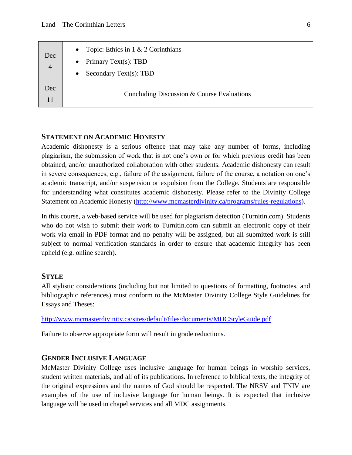| Dec<br>$\overline{4}$ | Topic: Ethics in $1 \& 2$ Corinthians<br>$\bullet$<br>Primary Text(s): TBD<br>$\bullet$<br>Secondary Text(s): TBD<br>$\bullet$ |
|-----------------------|--------------------------------------------------------------------------------------------------------------------------------|
| Dec                   | Concluding Discussion & Course Evaluations                                                                                     |

#### **STATEMENT ON ACADEMIC HONESTY**

Academic dishonesty is a serious offence that may take any number of forms, including plagiarism, the submission of work that is not one's own or for which previous credit has been obtained, and/or unauthorized collaboration with other students. Academic dishonesty can result in severe consequences, e.g., failure of the assignment, failure of the course, a notation on one's academic transcript, and/or suspension or expulsion from the College. Students are responsible for understanding what constitutes academic dishonesty. Please refer to the Divinity College Statement on Academic Honesty [\(http://www.mcmasterdivinity.ca/programs/rules-regulations\)](http://www.mcmasterdivinity.ca/programs/rules-regulations).

In this course, a web-based service will be used for plagiarism detection (Turnitin.com). Students who do not wish to submit their work to Turnitin.com can submit an electronic copy of their work via email in PDF format and no penalty will be assigned, but all submitted work is still subject to normal verification standards in order to ensure that academic integrity has been upheld (e.g. online search).

#### **STYLE**

All stylistic considerations (including but not limited to questions of formatting, footnotes, and bibliographic references) must conform to the McMaster Divinity College Style Guidelines for Essays and Theses:

<http://www.mcmasterdivinity.ca/sites/default/files/documents/MDCStyleGuide.pdf>

Failure to observe appropriate form will result in grade reductions.

## **GENDER INCLUSIVE LANGUAGE**

McMaster Divinity College uses inclusive language for human beings in worship services, student written materials, and all of its publications. In reference to biblical texts, the integrity of the original expressions and the names of God should be respected. The NRSV and TNIV are examples of the use of inclusive language for human beings. It is expected that inclusive language will be used in chapel services and all MDC assignments.